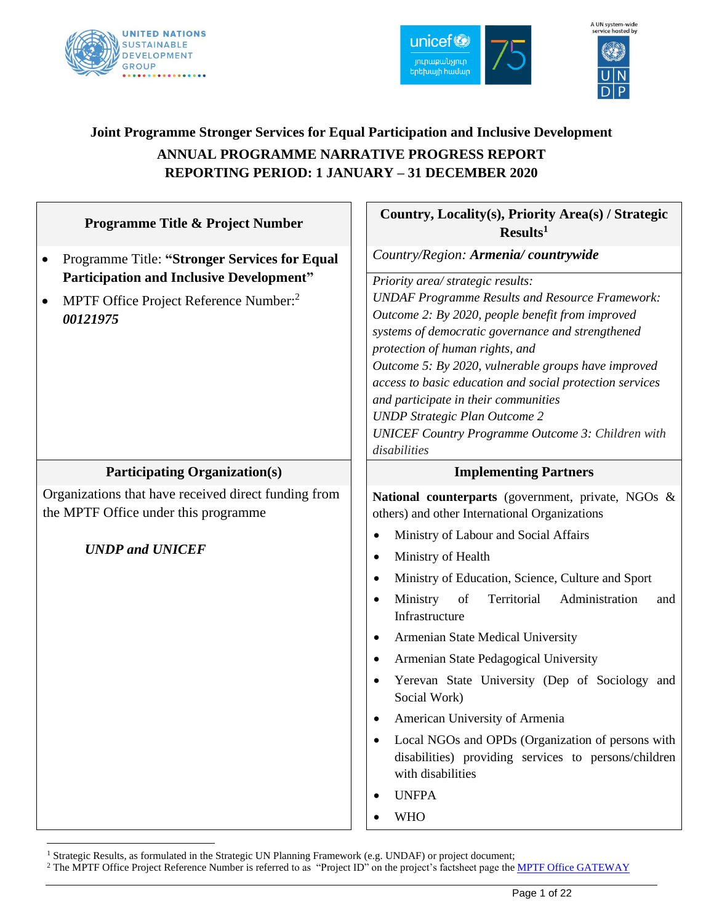



# A UN system-wide<br>service hosted by (O

# **Joint Programme Stronger Services for Equal Participation and Inclusive Development ANNUAL PROGRAMME NARRATIVE PROGRESS REPORT REPORTING PERIOD: 1 JANUARY – 31 DECEMBER 2020**

| Programme Title & Project Number                                                                                              | Country, Locality(s), Priority Area(s) / Strategic<br>Results <sup>1</sup>                                                                                                                                                                                                                                                                                                                                                                                                                                                                                                                                                                                                                                                          |
|-------------------------------------------------------------------------------------------------------------------------------|-------------------------------------------------------------------------------------------------------------------------------------------------------------------------------------------------------------------------------------------------------------------------------------------------------------------------------------------------------------------------------------------------------------------------------------------------------------------------------------------------------------------------------------------------------------------------------------------------------------------------------------------------------------------------------------------------------------------------------------|
| Programme Title: "Stronger Services for Equal<br>$\bullet$                                                                    | Country/Region: Armenia/countrywide                                                                                                                                                                                                                                                                                                                                                                                                                                                                                                                                                                                                                                                                                                 |
| <b>Participation and Inclusive Development"</b><br>MPTF Office Project Reference Number: <sup>2</sup><br>00121975             | Priority area/ strategic results:<br><b>UNDAF Programme Results and Resource Framework:</b><br>Outcome 2: By 2020, people benefit from improved<br>systems of democratic governance and strengthened<br>protection of human rights, and<br>Outcome 5: By 2020, vulnerable groups have improved<br>access to basic education and social protection services<br>and participate in their communities<br><b>UNDP</b> Strategic Plan Outcome 2<br><b>UNICEF Country Programme Outcome 3: Children with</b><br>disabilities                                                                                                                                                                                                              |
| <b>Participating Organization(s)</b>                                                                                          | <b>Implementing Partners</b>                                                                                                                                                                                                                                                                                                                                                                                                                                                                                                                                                                                                                                                                                                        |
| Organizations that have received direct funding from<br>the MPTF Office under this programme<br><b>UNDP</b> and <b>UNICEF</b> | National counterparts (government, private, NGOs &<br>others) and other International Organizations<br>Ministry of Labour and Social Affairs<br>Ministry of Health<br>$\bullet$<br>Ministry of Education, Science, Culture and Sport<br>$\bullet$<br>Ministry<br>of<br>Territorial<br>Administration<br>and<br>Infrastructure<br>Armenian State Medical University<br>$\bullet$<br>Armenian State Pedagogical University<br>$\bullet$<br>Yerevan State University (Dep of Sociology and<br>$\bullet$<br>Social Work)<br>American University of Armenia<br>Local NGOs and OPDs (Organization of persons with<br>$\bullet$<br>disabilities) providing services to persons/children<br>with disabilities<br><b>UNFPA</b><br><b>WHO</b> |

<sup>&</sup>lt;sup>1</sup> Strategic Results, as formulated in the Strategic UN Planning Framework (e.g. UNDAF) or project document;

<sup>&</sup>lt;sup>2</sup> The MPTF Office Project Reference Number is referred to as "Project ID" on the project's factsheet page th[e MPTF Office GATEWAY](http://mdtf.undp.org/)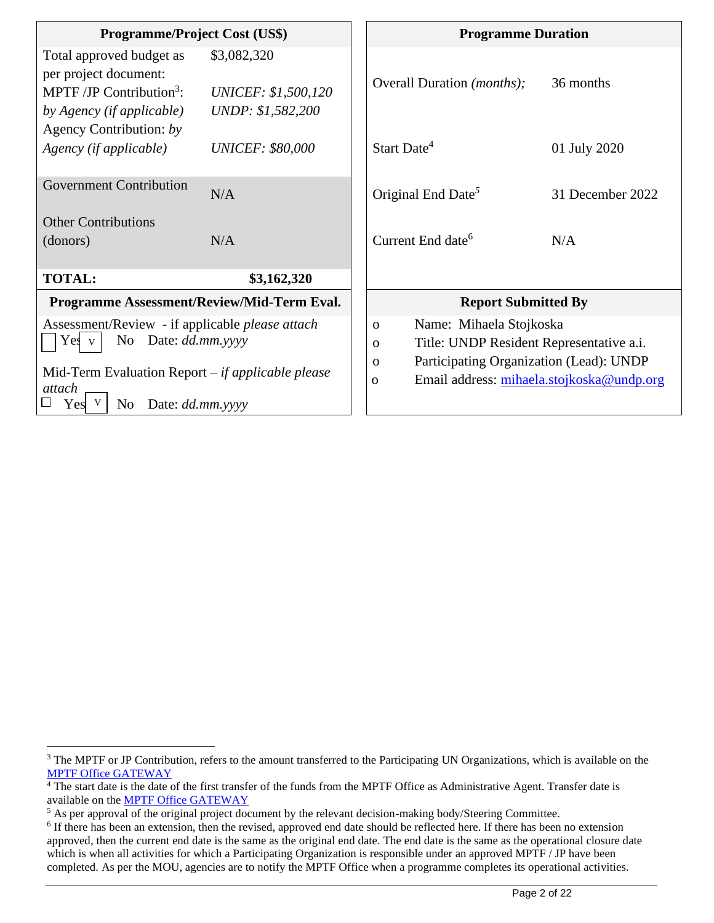| <b>Programme/Project Cost (US\$)</b>                                                                                                                                                                                  |                                                                | <b>Programme Duration</b>                                                                                                                                                                                           |                  |
|-----------------------------------------------------------------------------------------------------------------------------------------------------------------------------------------------------------------------|----------------------------------------------------------------|---------------------------------------------------------------------------------------------------------------------------------------------------------------------------------------------------------------------|------------------|
| Total approved budget as<br>per project document:<br>MPTF/JP Contribution <sup>3</sup> :<br>by Agency (if applicable)                                                                                                 | \$3,082,320<br><b>UNICEF: \$1,500,120</b><br>UNDP: \$1,582,200 | Overall Duration ( <i>months</i> );                                                                                                                                                                                 | 36 months        |
| Agency Contribution: by<br>Agency (if applicable)                                                                                                                                                                     | <i>UNICEF: \$80,000</i>                                        | Start Date <sup>4</sup>                                                                                                                                                                                             | 01 July 2020     |
| <b>Government Contribution</b>                                                                                                                                                                                        | N/A                                                            | Original End Date <sup>5</sup>                                                                                                                                                                                      | 31 December 2022 |
| <b>Other Contributions</b>                                                                                                                                                                                            |                                                                |                                                                                                                                                                                                                     |                  |
| (donors)                                                                                                                                                                                                              | N/A                                                            | Current End date <sup>6</sup>                                                                                                                                                                                       | N/A              |
| <b>TOTAL:</b>                                                                                                                                                                                                         | \$3,162,320                                                    |                                                                                                                                                                                                                     |                  |
| Programme Assessment/Review/Mid-Term Eval.                                                                                                                                                                            |                                                                | <b>Report Submitted By</b>                                                                                                                                                                                          |                  |
| Assessment/Review - if applicable <i>please attach</i><br>Date: <i>dd.mm.yyyy</i><br>No<br>Yes v<br>Mid-Term Evaluation Report $-i f$ <i>applicable please</i><br>attach<br>Date: dd.mm.yyyy<br>N <sub>0</sub><br>Yes |                                                                | Name: Mihaela Stojkoska<br>$\mathbf{O}$<br>Title: UNDP Resident Representative a.i.<br>$\mathbf{O}$<br>Participating Organization (Lead): UNDP<br>$\Omega$<br>Email address: mihaela.stojkoska@undp.org<br>$\Omega$ |                  |

<sup>&</sup>lt;sup>3</sup> The MPTF or JP Contribution, refers to the amount transferred to the Participating UN Organizations, which is available on the [MPTF Office GATEWAY](http://mdtf.undp.org/)

 $4$ The start date is the date of the first transfer of the funds from the MPTF Office as Administrative Agent. Transfer date is available on the MPTF [Office GATEWAY](http://mdtf.undp.org/)

<sup>&</sup>lt;sup>5</sup> As per approval of the original project document by the relevant decision-making body/Steering Committee.

<sup>&</sup>lt;sup>6</sup> If there has been an extension, then the revised, approved end date should be reflected here. If there has been no extension approved, then the current end date is the same as the original end date. The end date is the same as the operational closure date which is when all activities for which a Participating Organization is responsible under an approved MPTF / JP have been completed. As per the MOU, agencies are to notify the MPTF Office when a programme completes its operational activities.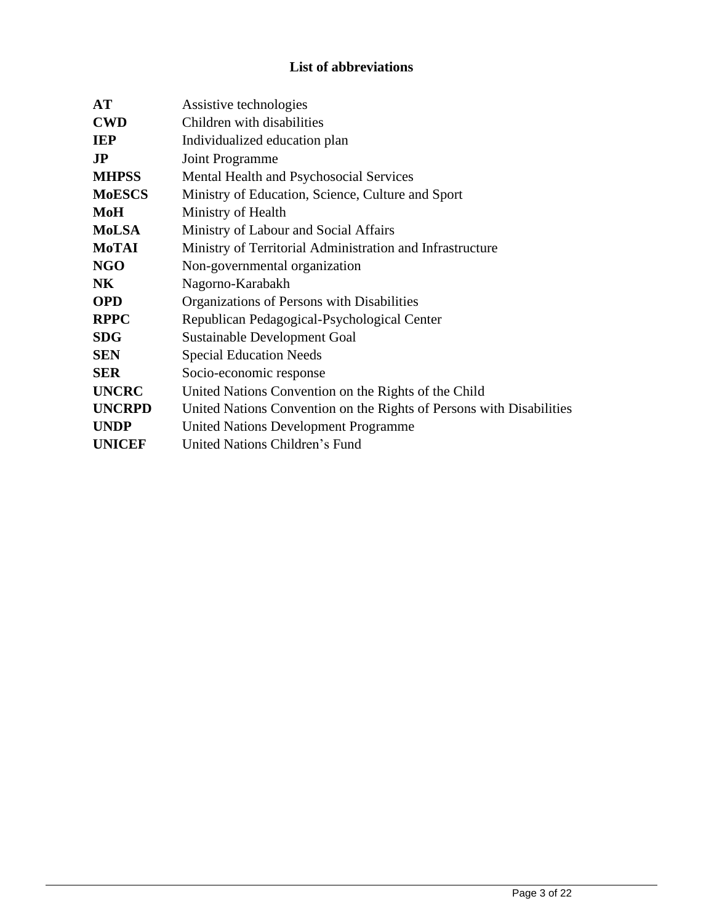# **List of abbreviations**

| <b>AT</b>     | Assistive technologies                                               |
|---------------|----------------------------------------------------------------------|
| <b>CWD</b>    | Children with disabilities                                           |
| <b>IEP</b>    | Individualized education plan                                        |
| $\bf{JP}$     | Joint Programme                                                      |
| <b>MHPSS</b>  | Mental Health and Psychosocial Services                              |
| <b>MoESCS</b> | Ministry of Education, Science, Culture and Sport                    |
| <b>MoH</b>    | Ministry of Health                                                   |
| <b>MoLSA</b>  | Ministry of Labour and Social Affairs                                |
| <b>MoTAI</b>  | Ministry of Territorial Administration and Infrastructure            |
| <b>NGO</b>    | Non-governmental organization                                        |
| <b>NK</b>     | Nagorno-Karabakh                                                     |
| <b>OPD</b>    | Organizations of Persons with Disabilities                           |
| <b>RPPC</b>   | Republican Pedagogical-Psychological Center                          |
| <b>SDG</b>    | <b>Sustainable Development Goal</b>                                  |
| <b>SEN</b>    | <b>Special Education Needs</b>                                       |
| <b>SER</b>    | Socio-economic response                                              |
| <b>UNCRC</b>  | United Nations Convention on the Rights of the Child                 |
| <b>UNCRPD</b> | United Nations Convention on the Rights of Persons with Disabilities |
| <b>UNDP</b>   | <b>United Nations Development Programme</b>                          |
| <b>UNICEF</b> | United Nations Children's Fund                                       |
|               |                                                                      |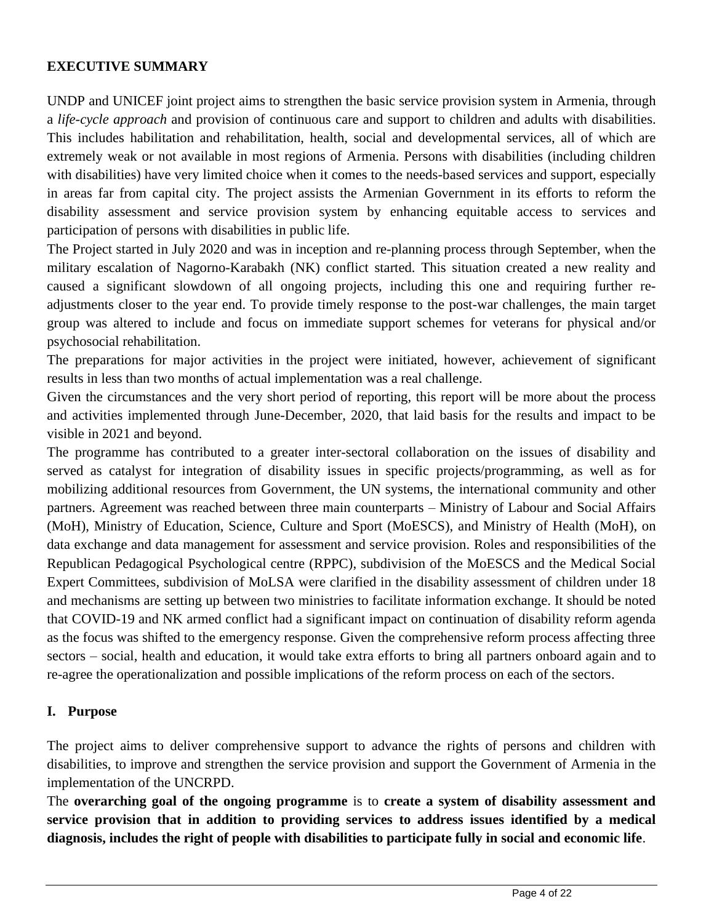#### **EXECUTIVE SUMMARY**

UNDP and UNICEF joint project aims to strengthen the basic service provision system in Armenia, through a *life-cycle approach* and provision of continuous care and support to children and adults with disabilities. This includes habilitation and rehabilitation, health, social and developmental services, all of which are extremely weak or not available in most regions of Armenia. Persons with disabilities (including children with disabilities) have very limited choice when it comes to the needs-based services and support, especially in areas far from capital city. The project assists the Armenian Government in its efforts to reform the disability assessment and service provision system by enhancing equitable access to services and participation of persons with disabilities in public life.

The Project started in July 2020 and was in inception and re-planning process through September, when the military escalation of Nagorno-Karabakh (NK) conflict started. This situation created a new reality and caused a significant slowdown of all ongoing projects, including this one and requiring further readjustments closer to the year end. To provide timely response to the post-war challenges, the main target group was altered to include and focus on immediate support schemes for veterans for physical and/or psychosocial rehabilitation.

The preparations for major activities in the project were initiated, however, achievement of significant results in less than two months of actual implementation was a real challenge.

Given the circumstances and the very short period of reporting, this report will be more about the process and activities implemented through June-December, 2020, that laid basis for the results and impact to be visible in 2021 and beyond.

The programme has contributed to a greater inter-sectoral collaboration on the issues of disability and served as catalyst for integration of disability issues in specific projects/programming, as well as for mobilizing additional resources from Government, the UN systems, the international community and other partners. Agreement was reached between three main counterparts – Ministry of Labour and Social Affairs (MoH), Ministry of Education, Science, Culture and Sport (MoESCS), and Ministry of Health (MoH), on data exchange and data management for assessment and service provision. Roles and responsibilities of the Republican Pedagogical Psychological centre (RPPC), subdivision of the MoESCS and the Medical Social Expert Committees, subdivision of MoLSA were clarified in the disability assessment of children under 18 and mechanisms are setting up between two ministries to facilitate information exchange. It should be noted that COVID-19 and NK armed conflict had a significant impact on continuation of disability reform agenda as the focus was shifted to the emergency response. Given the comprehensive reform process affecting three sectors – social, health and education, it would take extra efforts to bring all partners onboard again and to re-agree the operationalization and possible implications of the reform process on each of the sectors.

#### **I. Purpose**

The project aims to deliver comprehensive support to advance the rights of persons and children with disabilities, to improve and strengthen the service provision and support the Government of Armenia in the implementation of the UNCRPD.

The **overarching goal of the ongoing programme** is to **create a system of disability assessment and service provision that in addition to providing services to address issues identified by a medical diagnosis, includes the right of people with disabilities to participate fully in social and economic life**.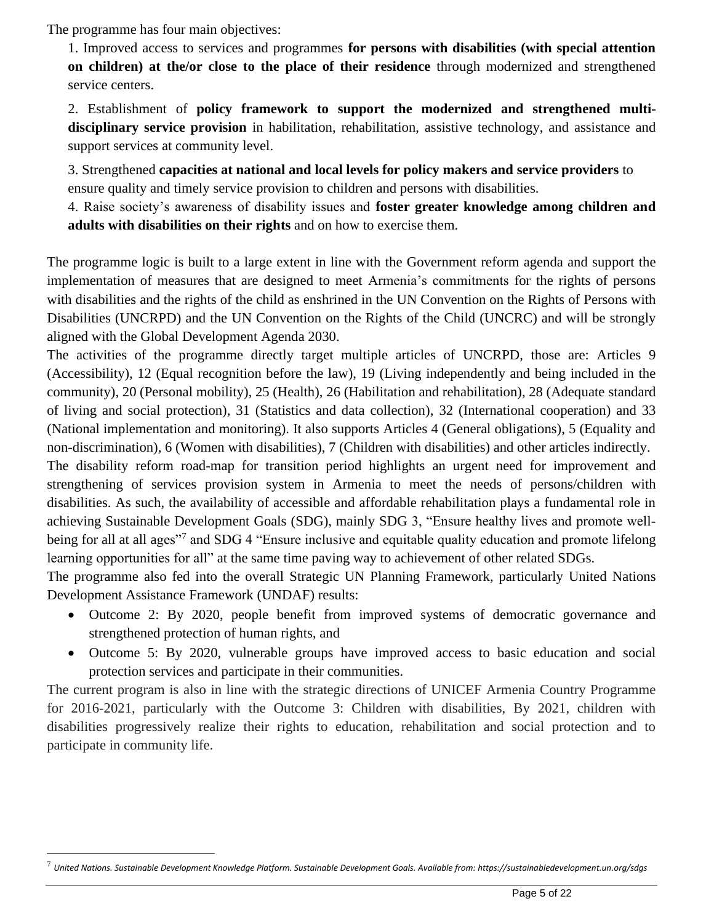The programme has four main objectives:

1. Improved access to services and programmes **for persons with disabilities (with special attention on children) at the/or close to the place of their residence** through modernized and strengthened service centers.

2. Establishment of **policy framework to support the modernized and strengthened multidisciplinary service provision** in habilitation, rehabilitation, assistive technology, and assistance and support services at community level.

3. Strengthened **capacities at national and local levels for policy makers and service providers** to ensure quality and timely service provision to children and persons with disabilities.

4. Raise society's awareness of disability issues and **foster greater knowledge among children and adults with disabilities on their rights** and on how to exercise them.

The programme logic is built to a large extent in line with the Government reform agenda and support the implementation of measures that are designed to meet Armenia's commitments for the rights of persons with disabilities and the rights of the child as enshrined in the UN Convention on the Rights of Persons with Disabilities (UNCRPD) and the UN Convention on the Rights of the Child (UNCRC) and will be strongly aligned with the Global Development Agenda 2030.

The activities of the programme directly target multiple articles of UNCRPD, those are: Articles 9 (Accessibility), 12 (Equal recognition before the law), 19 (Living independently and being included in the community), 20 (Personal mobility), 25 (Health), 26 (Habilitation and rehabilitation), 28 (Adequate standard of living and social protection), 31 (Statistics and data collection), 32 (International cooperation) and 33 (National implementation and monitoring). It also supports Articles 4 (General obligations), 5 (Equality and non-discrimination), 6 (Women with disabilities), 7 (Children with disabilities) and other articles indirectly.

The disability reform road-map for transition period highlights an urgent need for improvement and strengthening of services provision system in Armenia to meet the needs of persons/children with disabilities. As such, the availability of accessible and affordable rehabilitation plays a fundamental role in achieving Sustainable Development Goals (SDG), mainly SDG 3, "Ensure healthy lives and promote wellbeing for all at all ages"<sup>7</sup> and SDG 4 "Ensure inclusive and equitable quality education and promote lifelong learning opportunities for all" at the same time paving way to achievement of other related SDGs.

The programme also fed into the overall Strategic UN Planning Framework, particularly United Nations Development Assistance Framework (UNDAF) results:

- Outcome 2: By 2020, people benefit from improved systems of democratic governance and strengthened protection of human rights, and
- Outcome 5: By 2020, vulnerable groups have improved access to basic education and social protection services and participate in their communities.

The current program is also in line with the strategic directions of UNICEF Armenia Country Programme for 2016-2021, particularly with the Outcome 3: Children with disabilities, By 2021, children with disabilities progressively realize their rights to education, rehabilitation and social protection and to participate in community life.

<sup>7</sup> *United Nations. Sustainable Development Knowledge Platform. Sustainable Development Goals. Available from: https://sustainabledevelopment.un.org/sdgs*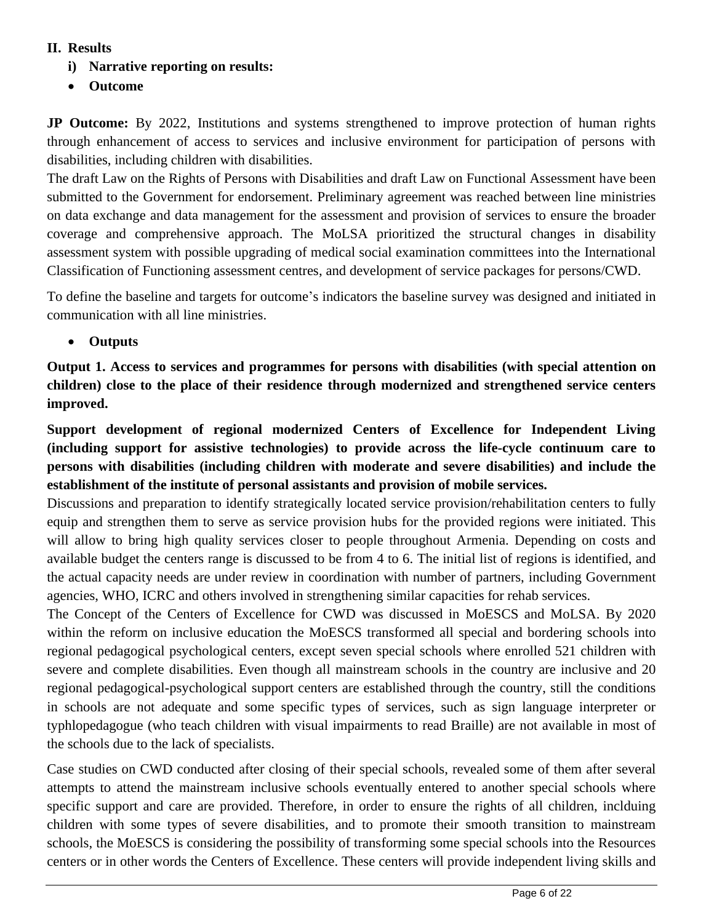#### **II. Results**

- **i) Narrative reporting on results:**
- **Outcome**

**JP Outcome:** By 2022, Institutions and systems strengthened to improve protection of human rights through enhancement of access to services and inclusive environment for participation of persons with disabilities, including children with disabilities.

The draft Law on the Rights of Persons with Disabilities and draft Law on Functional Assessment have been submitted to the Government for endorsement. Preliminary agreement was reached between line ministries on data exchange and data management for the assessment and provision of services to ensure the broader coverage and comprehensive approach. The MoLSA prioritized the structural changes in disability assessment system with possible upgrading of medical social examination committees into the International Classification of Functioning assessment centres, and development of service packages for persons/CWD.

To define the baseline and targets for outcome's indicators the baseline survey was designed and initiated in communication with all line ministries.

• **Outputs**

**Output 1. Access to services and programmes for persons with disabilities (with special attention on children) close to the place of their residence through modernized and strengthened service centers improved.**

**Support development of regional modernized Centers of Excellence for Independent Living (including support for assistive technologies) to provide across the life-cycle continuum care to persons with disabilities (including children with moderate and severe disabilities) and include the establishment of the institute of personal assistants and provision of mobile services.**

Discussions and preparation to identify strategically located service provision/rehabilitation centers to fully equip and strengthen them to serve as service provision hubs for the provided regions were initiated. This will allow to bring high quality services closer to people throughout Armenia. Depending on costs and available budget the centers range is discussed to be from 4 to 6. The initial list of regions is identified, and the actual capacity needs are under review in coordination with number of partners, including Government agencies, WHO, ICRC and others involved in strengthening similar capacities for rehab services.

The Concept of the Centers of Excellence for CWD was discussed in MoESCS and MoLSA. By 2020 within the reform on inclusive education the MoESCS transformed all special and bordering schools into regional pedagogical psychological centers, except seven special schools where enrolled 521 children with severe and complete disabilities. Even though all mainstream schools in the country are inclusive and 20 regional pedagogical-psychological support centers are established through the country, still the conditions in schools are not adequate and some specific types of services, such as sign language interpreter or typhlopedagogue (who teach children with visual impairments to read Braille) are not available in most of the schools due to the lack of specialists.

Case studies on CWD conducted after closing of their special schools, revealed some of them after several attempts to attend the mainstream inclusive schools eventually entered to another special schools where specific support and care are provided. Therefore, in order to ensure the rights of all children, inclduing children with some types of severe disabilities, and to promote their smooth transition to mainstream schools, the MoESCS is considering the possibility of transforming some special schools into the Resources centers or in other words the Centers of Excellence. These centers will provide independent living skills and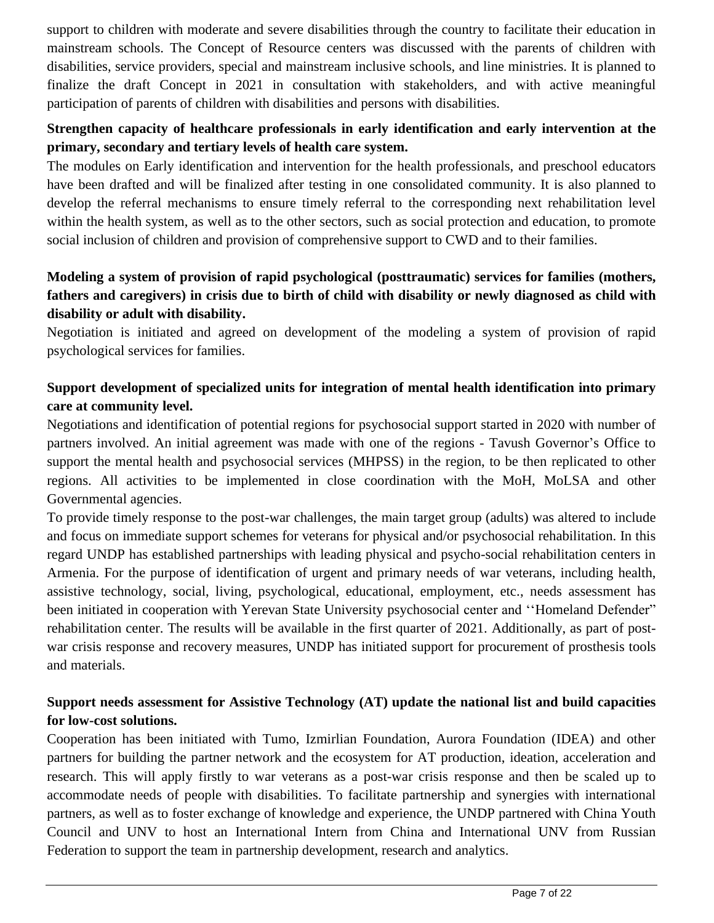support to children with moderate and severe disabilities through the country to facilitate their education in mainstream schools. The Concept of Resource centers was discussed with the parents of children with disabilities, service providers, special and mainstream inclusive schools, and line ministries. It is planned to finalize the draft Concept in 2021 in consultation with stakeholders, and with active meaningful participation of parents of children with disabilities and persons with disabilities.

# **Strengthen capacity of healthcare professionals in early identification and early intervention at the primary, secondary and tertiary levels of health care system.**

The modules on Early identification and intervention for the health professionals, and preschool educators have been drafted and will be finalized after testing in one consolidated community. It is also planned to develop the referral mechanisms to ensure timely referral to the corresponding next rehabilitation level within the health system, as well as to the other sectors, such as social protection and education, to promote social inclusion of children and provision of comprehensive support to CWD and to their families.

# **Modeling a system of provision of rapid psychological (posttraumatic) services for families (mothers, fathers and caregivers) in crisis due to birth of child with disability or newly diagnosed as child with disability or adult with disability.**

Negotiation is initiated and agreed on development of the modeling a system of provision of rapid psychological services for families.

# **Support development of specialized units for integration of mental health identification into primary care at community level.**

Negotiations and identification of potential regions for psychosocial support started in 2020 with number of partners involved. An initial agreement was made with one of the regions - Tavush Governor's Office to support the mental health and psychosocial services (MHPSS) in the region, to be then replicated to other regions. All activities to be implemented in close coordination with the MoH, MoLSA and other Governmental agencies.

To provide timely response to the post-war challenges, the main target group (adults) was altered to include and focus on immediate support schemes for veterans for physical and/or psychosocial rehabilitation. In this regard UNDP has established partnerships with leading physical and psycho-social rehabilitation centers in Armenia. For the purpose of identification of urgent and primary needs of war veterans, including health, assistive technology, social, living, psychological, educational, employment, etc., needs assessment has been initiated in cooperation with Yerevan State University psychosocial center and "Homeland Defender" rehabilitation center. The results will be available in the first quarter of 2021. Additionally, as part of postwar crisis response and recovery measures, UNDP has initiated support for procurement of prosthesis tools and materials.

# **Support needs assessment for Assistive Technology (AT) update the national list and build capacities for low-cost solutions.**

Cooperation has been initiated with Tumo, Izmirlian Foundation, Aurora Foundation (IDEA) and other partners for building the partner network and the ecosystem for AT production, ideation, acceleration and research. This will apply firstly to war veterans as a post-war crisis response and then be scaled up to accommodate needs of people with disabilities. To facilitate partnership and synergies with international partners, as well as to foster exchange of knowledge and experience, the UNDP partnered with China Youth Council and UNV to host an International Intern from China and International UNV from Russian Federation to support the team in partnership development, research and analytics.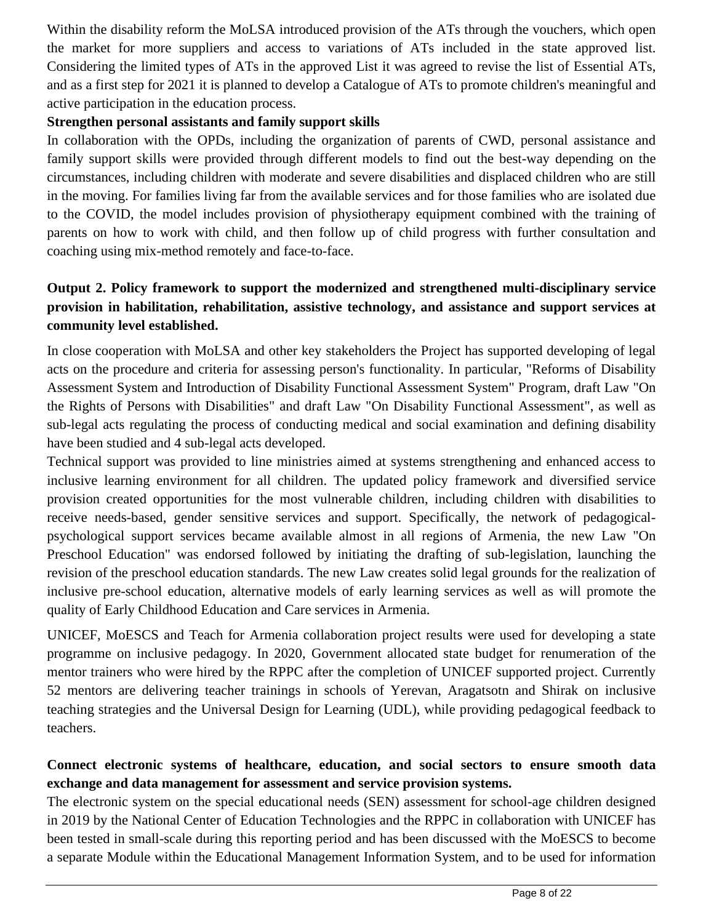Within the disability reform the MoLSA introduced provision of the ATs through the vouchers, which open the market for more suppliers and access to variations of ATs included in the state approved list. Considering the limited types of ATs in the approved List it was agreed to revise the list of Essential ATs, and as a first step for 2021 it is planned to develop a Catalogue of ATs to promote children's meaningful and active participation in the education process.

#### **Strengthen personal assistants and family support skills**

In collaboration with the OPDs, including the organization of parents of CWD, personal assistance and family support skills were provided through different models to find out the best-way depending on the circumstances, including children with moderate and severe disabilities and displaced children who are still in the moving. For families living far from the available services and for those families who are isolated due to the COVID, the model includes provision of physiotherapy equipment combined with the training of parents on how to work with child, and then follow up of child progress with further consultation and coaching using mix-method remotely and face-to-face.

# **Output 2. Policy framework to support the modernized and strengthened multi-disciplinary service provision in habilitation, rehabilitation, assistive technology, and assistance and support services at community level established.**

In close cooperation with MoLSA and other key stakeholders the Project has supported developing of legal acts on the procedure and criteria for assessing person's functionality. In particular, "Reforms of Disability Assessment System and Introduction of Disability Functional Assessment System" Program, draft Law "On the Rights of Persons with Disabilities" and draft Law "On Disability Functional Assessment", as well as sub-legal acts regulating the process of conducting medical and social examination and defining disability have been studied and 4 sub-legal acts developed.

Technical support was provided to line ministries aimed at systems strengthening and enhanced access to inclusive learning environment for all children. The updated policy framework and diversified service provision created opportunities for the most vulnerable children, including children with disabilities to receive needs-based, gender sensitive services and support. Specifically, the network of pedagogicalpsychological support services became available almost in all regions of Armenia, the new Law "On Preschool Education" was endorsed followed by initiating the drafting of sub-legislation, launching the revision of the preschool education standards. The new Law creates solid legal grounds for the realization of inclusive pre-school education, alternative models of early learning services as well as will promote the quality of Early Childhood Education and Care services in Armenia.

UNICEF, MoESCS and Teach for Armenia collaboration project results were used for developing a state programme on inclusive pedagogy. In 2020, Government allocated state budget for renumeration of the mentor trainers who were hired by the RPPC after the completion of UNICEF supported project. Currently 52 mentors are delivering teacher trainings in schools of Yerevan, Aragatsotn and Shirak on inclusive teaching strategies and the Universal Design for Learning (UDL), while providing pedagogical feedback to teachers.

# **Connect electronic systems of healthcare, education, and social sectors to ensure smooth data exchange and data management for assessment and service provision systems.**

The electronic system on the special educational needs (SEN) assessment for school-age children designed in 2019 by the National Center of Education Technologies and the RPPC in collaboration with UNICEF has been tested in small-scale during this reporting period and has been discussed with the MoESCS to become a separate Module within the Educational Management Information System, and to be used for information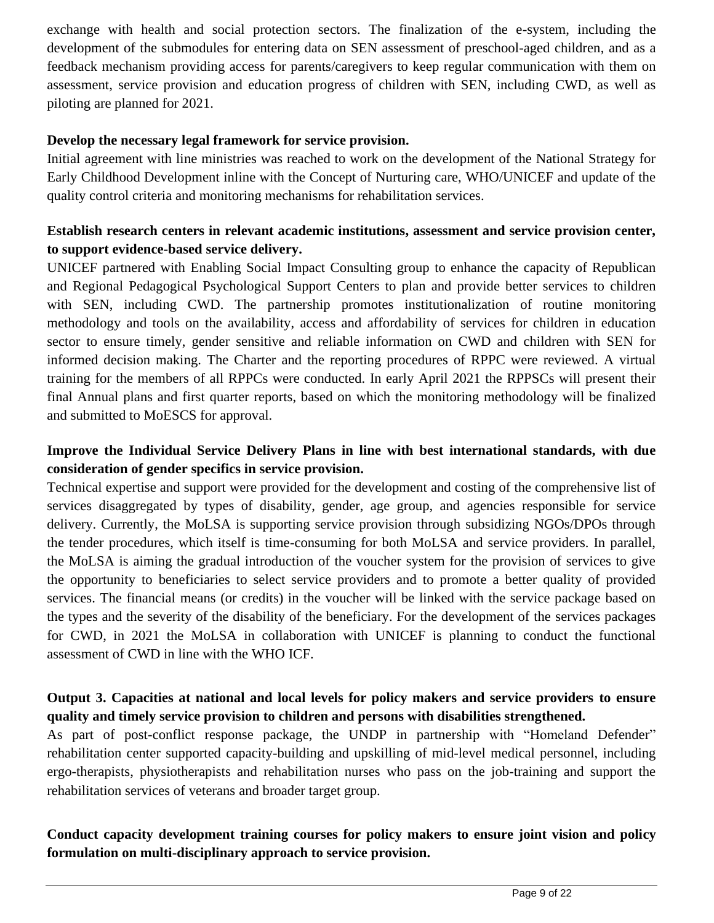exchange with health and social protection sectors. The finalization of the e-system, including the development of the submodules for entering data on SEN assessment of preschool-aged children, and as a feedback mechanism providing access for parents/caregivers to keep regular communication with them on assessment, service provision and education progress of children with SEN, including CWD, as well as piloting are planned for 2021.

#### **Develop the necessary legal framework for service provision.**

Initial agreement with line ministries was reached to work on the development of the National Strategy for Early Childhood Development inline with the Concept of Nurturing care, WHO/UNICEF and update of the quality control criteria and monitoring mechanisms for rehabilitation services.

## **Establish research centers in relevant academic institutions, assessment and service provision center, to support evidence-based service delivery.**

UNICEF partnered with Enabling Social Impact Consulting group to enhance the capacity of Republican and Regional Pedagogical Psychological Support Centers to plan and provide better services to children with SEN, including CWD. The partnership promotes institutionalization of routine monitoring methodology and tools on the availability, access and affordability of services for children in education sector to ensure timely, gender sensitive and reliable information on CWD and children with SEN for informed decision making. The Charter and the reporting procedures of RPPC were reviewed. A virtual training for the members of all RPPCs were conducted. In early April 2021 the RPPSCs will present their final Annual plans and first quarter reports, based on which the monitoring methodology will be finalized and submitted to MoESCS for approval.

#### **Improve the Individual Service Delivery Plans in line with best international standards, with due consideration of gender specifics in service provision.**

Technical expertise and support were provided for the development and costing of the comprehensive list of services disaggregated by types of disability, gender, age group, and agencies responsible for service delivery. Currently, the MoLSA is supporting service provision through subsidizing NGOs/DPOs through the tender procedures, which itself is time-consuming for both MoLSA and service providers. In parallel, the MoLSA is aiming the gradual introduction of the voucher system for the provision of services to give the opportunity to beneficiaries to select service providers and to promote a better quality of provided services. The financial means (or credits) in the voucher will be linked with the service package based on the types and the severity of the disability of the beneficiary. For the development of the services packages for CWD, in 2021 the MoLSA in collaboration with UNICEF is planning to conduct the functional assessment of CWD in line with the WHO ICF.

# **Output 3. Capacities at national and local levels for policy makers and service providers to ensure quality and timely service provision to children and persons with disabilities strengthened.**

As part of post-conflict response package, the UNDP in partnership with "Homeland Defender" rehabilitation center supported capacity-building and upskilling of mid-level medical personnel, including ergo-therapists, physiotherapists and rehabilitation nurses who pass on the job-training and support the rehabilitation services of veterans and broader target group.

## **Conduct capacity development training courses for policy makers to ensure joint vision and policy formulation on multi-disciplinary approach to service provision.**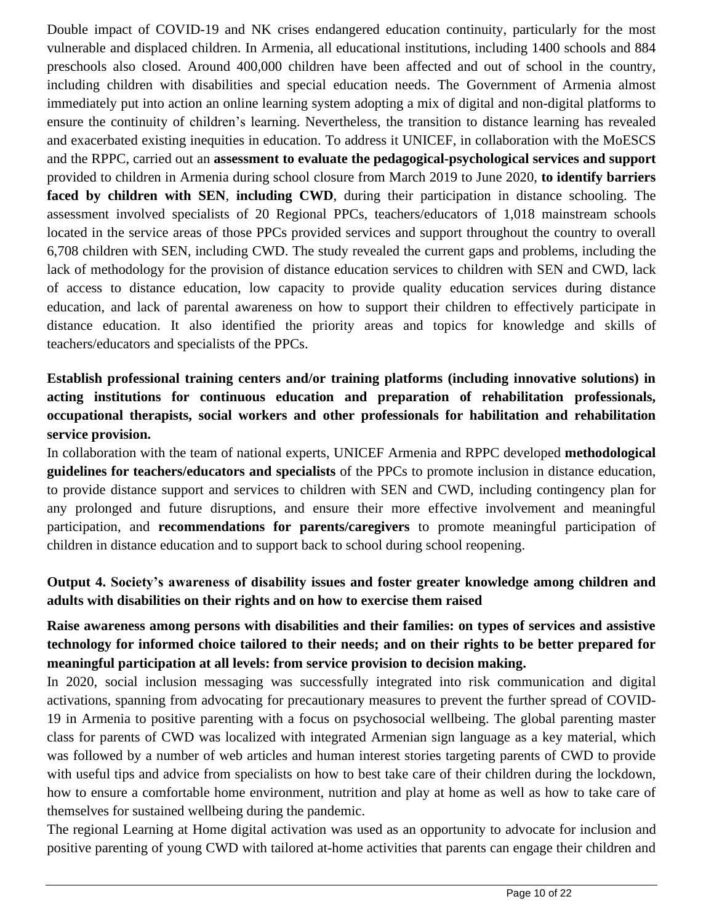Double impact of COVID-19 and NK crises endangered education continuity, particularly for the most vulnerable and displaced children. In Armenia, all educational institutions, including 1400 schools and 884 preschools also closed. Around 400,000 children have been affected and out of school in the country, including children with disabilities and special education needs. The Government of Armenia almost immediately put into action an online learning system adopting a mix of digital and non-digital platforms to ensure the continuity of children's learning. Nevertheless, the transition to distance learning has revealed and exacerbated existing inequities in education. To address it UNICEF, in collaboration with the MoESCS and the RPPC, carried out an **assessment to evaluate the pedagogical-psychological services and support** provided to children in Armenia during school closure from March 2019 to June 2020, **to identify barriers faced by children with SEN**, **including CWD**, during their participation in distance schooling. The assessment involved specialists of 20 Regional PPCs, teachers/educators of 1,018 mainstream schools located in the service areas of those PPCs provided services and support throughout the country to overall 6,708 children with SEN, including CWD. The study revealed the current gaps and problems, including the lack of methodology for the provision of distance education services to children with SEN and CWD, lack of access to distance education, low capacity to provide quality education services during distance education, and lack of parental awareness on how to support their children to effectively participate in distance education. It also identified the priority areas and topics for knowledge and skills of teachers/educators and specialists of the PPCs.

# **Establish professional training centers and/or training platforms (including innovative solutions) in acting institutions for continuous education and preparation of rehabilitation professionals, occupational therapists, social workers and other professionals for habilitation and rehabilitation service provision.**

In collaboration with the team of national experts, UNICEF Armenia and RPPC developed **methodological guidelines for teachers/educators and specialists** of the PPCs to promote inclusion in distance education, to provide distance support and services to children with SEN and CWD, including contingency plan for any prolonged and future disruptions, and ensure their more effective involvement and meaningful participation, and **recommendations for parents/caregivers** to promote meaningful participation of children in distance education and to support back to school during school reopening.

# **Output 4. Society's awareness of disability issues and foster greater knowledge among children and adults with disabilities on their rights and on how to exercise them raised**

# **Raise awareness among persons with disabilities and their families: on types of services and assistive technology for informed choice tailored to their needs; and on their rights to be better prepared for meaningful participation at all levels: from service provision to decision making.**

In 2020, social inclusion messaging was successfully integrated into risk communication and digital activations, spanning from advocating for precautionary measures to prevent the further spread of COVID-19 in Armenia to positive parenting with a focus on psychosocial wellbeing. The global parenting master class for parents of CWD was localized with integrated Armenian sign language as a key material, which was followed by a number of web articles and human interest stories targeting parents of CWD to provide with useful tips and advice from specialists on how to best take care of their children during the lockdown, how to ensure a comfortable home environment, nutrition and play at home as well as how to take care of themselves for sustained wellbeing during the pandemic.

The regional Learning at Home digital activation was used as an opportunity to advocate for inclusion and positive parenting of young CWD with tailored at-home activities that parents can engage their children and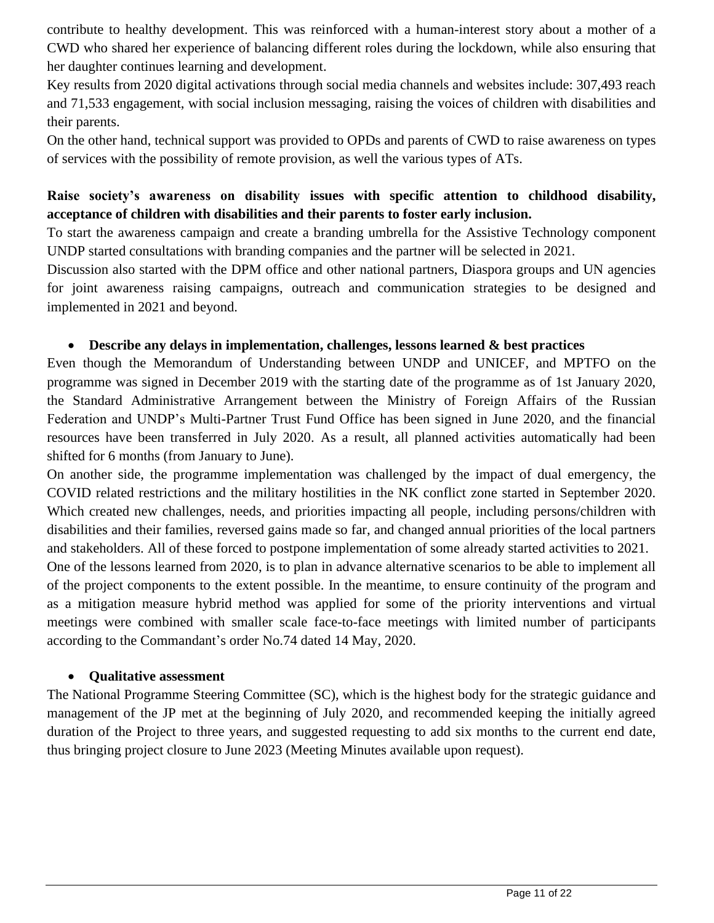contribute to healthy development. This was reinforced with a human-interest story about a mother of a CWD who shared her experience of balancing different roles during the lockdown, while also ensuring that her daughter continues learning and development.

Key results from 2020 digital activations through social media channels and websites include: 307,493 reach and 71,533 engagement, with social inclusion messaging, raising the voices of children with disabilities and their parents.

On the other hand, technical support was provided to OPDs and parents of CWD to raise awareness on types of services with the possibility of remote provision, as well the various types of ATs.

## **Raise society's awareness on disability issues with specific attention to childhood disability, acceptance of children with disabilities and their parents to foster early inclusion.**

To start the awareness campaign and create a branding umbrella for the Assistive Technology component UNDP started consultations with branding companies and the partner will be selected in 2021.

Discussion also started with the DPM office and other national partners, Diaspora groups and UN agencies for joint awareness raising campaigns, outreach and communication strategies to be designed and implemented in 2021 and beyond.

#### • **Describe any delays in implementation, challenges, lessons learned & best practices**

Even though the Memorandum of Understanding between UNDP and UNICEF, and MPTFO on the programme was signed in December 2019 with the starting date of the programme as of 1st January 2020, the Standard Administrative Arrangement between the Ministry of Foreign Affairs of the Russian Federation and UNDP's Multi-Partner Trust Fund Office has been signed in June 2020, and the financial resources have been transferred in July 2020. As a result, all planned activities automatically had been shifted for 6 months (from January to June).

On another side, the programme implementation was challenged by the impact of dual emergency, the COVID related restrictions and the military hostilities in the NK conflict zone started in September 2020. Which created new challenges, needs, and priorities impacting all people, including persons/children with disabilities and their families, reversed gains made so far, and changed annual priorities of the local partners and stakeholders. All of these forced to postpone implementation of some already started activities to 2021.

One of the lessons learned from 2020, is to plan in advance alternative scenarios to be able to implement all of the project components to the extent possible. In the meantime, to ensure continuity of the program and as a mitigation measure hybrid method was applied for some of the priority interventions and virtual meetings were combined with smaller scale face-to-face meetings with limited number of participants according to the Commandant's order No.74 dated 14 May, 2020.

#### • **Qualitative assessment**

The National Programme Steering Committee (SC), which is the highest body for the strategic guidance and management of the JP met at the beginning of July 2020, and recommended keeping the initially agreed duration of the Project to three years, and suggested requesting to add six months to the current end date, thus bringing project closure to June 2023 (Meeting Minutes available upon request).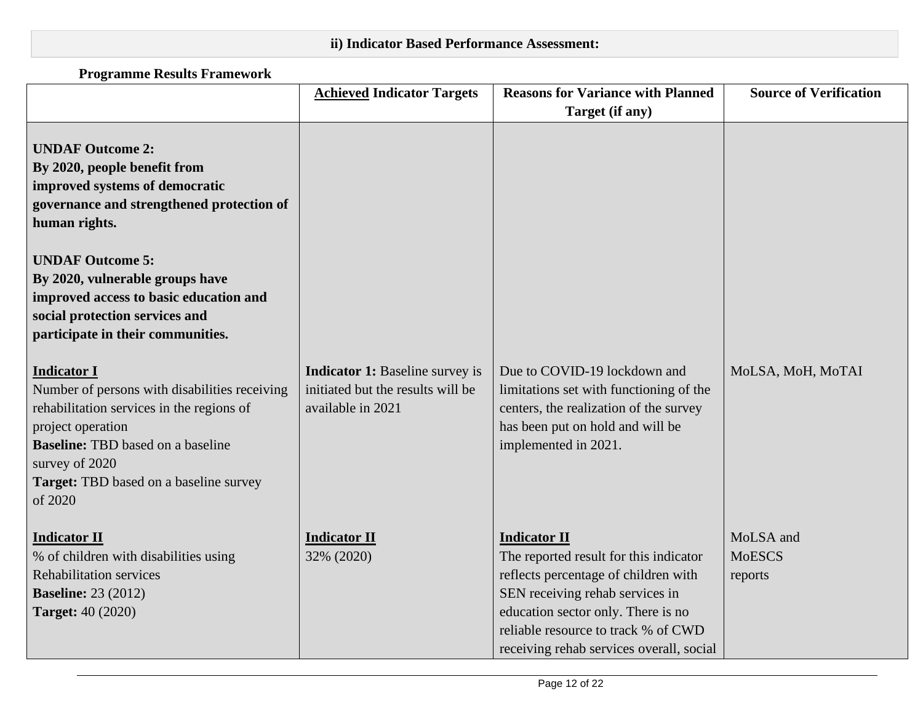# **ii) Indicator Based Performance Assessment:**

# **Programme Results Framework**

|                                                                                                                                                                                                                                                                                                                                        | <b>Achieved Indicator Targets</b>                                                                | <b>Reasons for Variance with Planned</b>                                                                                                                                                                                                                          | <b>Source of Verification</b>         |
|----------------------------------------------------------------------------------------------------------------------------------------------------------------------------------------------------------------------------------------------------------------------------------------------------------------------------------------|--------------------------------------------------------------------------------------------------|-------------------------------------------------------------------------------------------------------------------------------------------------------------------------------------------------------------------------------------------------------------------|---------------------------------------|
|                                                                                                                                                                                                                                                                                                                                        |                                                                                                  | Target (if any)                                                                                                                                                                                                                                                   |                                       |
| <b>UNDAF Outcome 2:</b><br>By 2020, people benefit from<br>improved systems of democratic<br>governance and strengthened protection of<br>human rights.<br><b>UNDAF Outcome 5:</b><br>By 2020, vulnerable groups have<br>improved access to basic education and<br>social protection services and<br>participate in their communities. |                                                                                                  |                                                                                                                                                                                                                                                                   |                                       |
| <b>Indicator I</b><br>Number of persons with disabilities receiving<br>rehabilitation services in the regions of<br>project operation<br><b>Baseline:</b> TBD based on a baseline<br>survey of 2020<br>Target: TBD based on a baseline survey<br>of 2020                                                                               | <b>Indicator 1:</b> Baseline survey is<br>initiated but the results will be<br>available in 2021 | Due to COVID-19 lockdown and<br>limitations set with functioning of the<br>centers, the realization of the survey<br>has been put on hold and will be<br>implemented in 2021.                                                                                     | MoLSA, MoH, MoTAI                     |
| <b>Indicator II</b><br>% of children with disabilities using<br><b>Rehabilitation services</b><br><b>Baseline: 23 (2012)</b><br><b>Target: 40 (2020)</b>                                                                                                                                                                               | <b>Indicator II</b><br>32% (2020)                                                                | <b>Indicator II</b><br>The reported result for this indicator<br>reflects percentage of children with<br>SEN receiving rehab services in<br>education sector only. There is no<br>reliable resource to track % of CWD<br>receiving rehab services overall, social | MoLSA and<br><b>MoESCS</b><br>reports |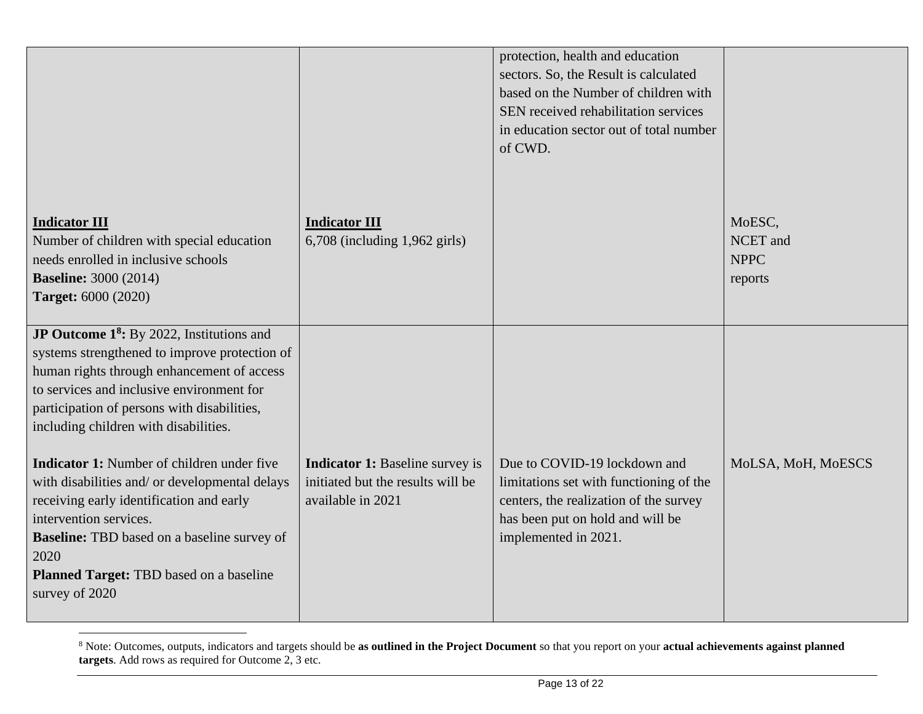| <b>Indicator III</b><br>Number of children with special education<br>needs enrolled in inclusive schools<br><b>Baseline: 3000 (2014)</b><br><b>Target: 6000 (2020)</b>                                                                                                                                                                                                                                                                                                                                                                                                                            | <b>Indicator III</b><br>$6,708$ (including 1,962 girls)                                          | protection, health and education<br>sectors. So, the Result is calculated<br>based on the Number of children with<br>SEN received rehabilitation services<br>in education sector out of total number<br>of CWD. | MoESC,<br>NCET and<br><b>NPPC</b><br>reports |
|---------------------------------------------------------------------------------------------------------------------------------------------------------------------------------------------------------------------------------------------------------------------------------------------------------------------------------------------------------------------------------------------------------------------------------------------------------------------------------------------------------------------------------------------------------------------------------------------------|--------------------------------------------------------------------------------------------------|-----------------------------------------------------------------------------------------------------------------------------------------------------------------------------------------------------------------|----------------------------------------------|
| JP Outcome 1 <sup>8</sup> : By 2022, Institutions and<br>systems strengthened to improve protection of<br>human rights through enhancement of access<br>to services and inclusive environment for<br>participation of persons with disabilities,<br>including children with disabilities.<br><b>Indicator 1:</b> Number of children under five<br>with disabilities and/ or developmental delays<br>receiving early identification and early<br>intervention services.<br><b>Baseline:</b> TBD based on a baseline survey of<br>2020<br>Planned Target: TBD based on a baseline<br>survey of 2020 | <b>Indicator 1:</b> Baseline survey is<br>initiated but the results will be<br>available in 2021 | Due to COVID-19 lockdown and<br>limitations set with functioning of the<br>centers, the realization of the survey<br>has been put on hold and will be<br>implemented in 2021.                                   | MoLSA, MoH, MoESCS                           |

<sup>8</sup> Note: Outcomes, outputs, indicators and targets should be **as outlined in the Project Document** so that you report on your **actual achievements against planned targets**. Add rows as required for Outcome 2, 3 etc.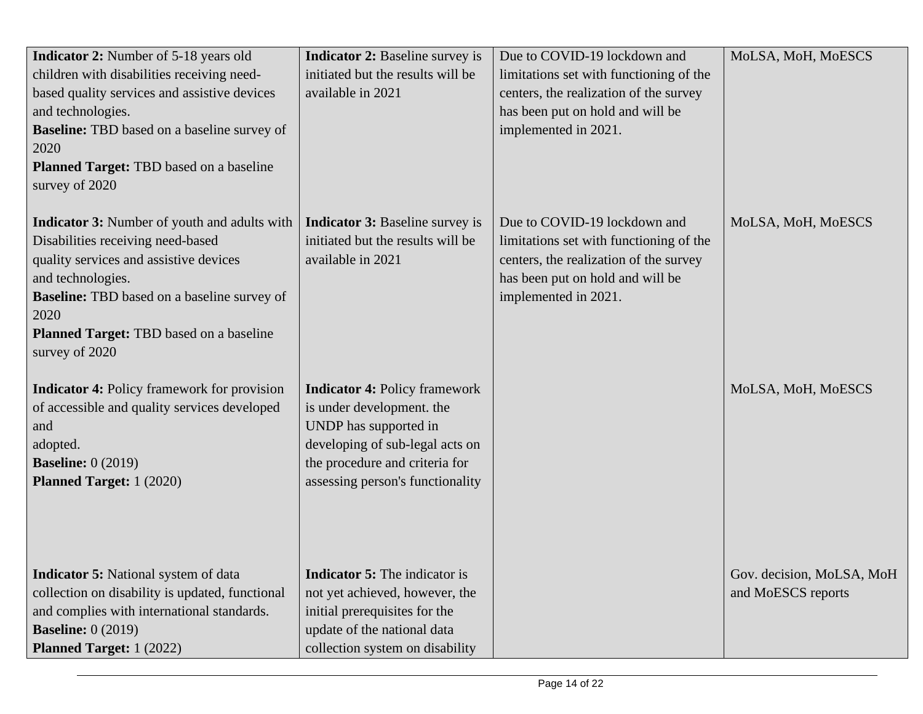| <b>Indicator 2:</b> Number of 5-18 years old        | <b>Indicator 2: Baseline survey is</b>                   | Due to COVID-19 lockdown and            | MoLSA, MoH, MoESCS        |
|-----------------------------------------------------|----------------------------------------------------------|-----------------------------------------|---------------------------|
| children with disabilities receiving need-          | initiated but the results will be                        | limitations set with functioning of the |                           |
| based quality services and assistive devices        | available in 2021                                        | centers, the realization of the survey  |                           |
| and technologies.                                   |                                                          | has been put on hold and will be        |                           |
| <b>Baseline:</b> TBD based on a baseline survey of  |                                                          | implemented in 2021.                    |                           |
| 2020                                                |                                                          |                                         |                           |
| Planned Target: TBD based on a baseline             |                                                          |                                         |                           |
| survey of 2020                                      |                                                          |                                         |                           |
|                                                     |                                                          |                                         |                           |
| <b>Indicator 3:</b> Number of youth and adults with | <b>Indicator 3: Baseline survey is</b>                   | Due to COVID-19 lockdown and            | MoLSA, MoH, MoESCS        |
| Disabilities receiving need-based                   | initiated but the results will be                        | limitations set with functioning of the |                           |
| quality services and assistive devices              | available in 2021                                        | centers, the realization of the survey  |                           |
| and technologies.                                   |                                                          | has been put on hold and will be        |                           |
| <b>Baseline:</b> TBD based on a baseline survey of  |                                                          | implemented in 2021.                    |                           |
| 2020                                                |                                                          |                                         |                           |
| Planned Target: TBD based on a baseline             |                                                          |                                         |                           |
| survey of 2020                                      |                                                          |                                         |                           |
|                                                     |                                                          |                                         |                           |
| <b>Indicator 4:</b> Policy framework for provision  | <b>Indicator 4: Policy framework</b>                     |                                         | MoLSA, MoH, MoESCS        |
| of accessible and quality services developed        | is under development. the                                |                                         |                           |
| and                                                 | UNDP has supported in<br>developing of sub-legal acts on |                                         |                           |
| adopted.<br><b>Baseline:</b> 0 (2019)               | the procedure and criteria for                           |                                         |                           |
| <b>Planned Target:</b> 1 (2020)                     | assessing person's functionality                         |                                         |                           |
|                                                     |                                                          |                                         |                           |
|                                                     |                                                          |                                         |                           |
|                                                     |                                                          |                                         |                           |
|                                                     |                                                          |                                         |                           |
| <b>Indicator 5:</b> National system of data         | <b>Indicator 5:</b> The indicator is                     |                                         | Gov. decision, MoLSA, MoH |
| collection on disability is updated, functional     | not yet achieved, however, the                           |                                         | and MoESCS reports        |
| and complies with international standards.          | initial prerequisites for the                            |                                         |                           |
| <b>Baseline:</b> 0 (2019)                           | update of the national data                              |                                         |                           |
| <b>Planned Target:</b> 1 (2022)                     | collection system on disability                          |                                         |                           |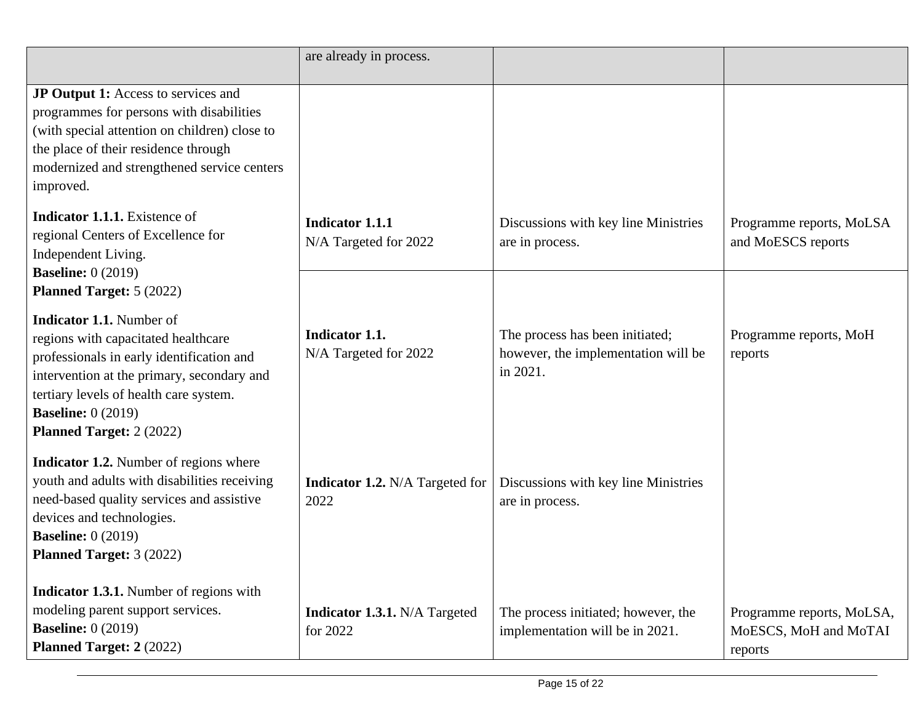|                                                                                                                                                                                                                                                                      | are already in process.                          |                                                                                    |                                                               |
|----------------------------------------------------------------------------------------------------------------------------------------------------------------------------------------------------------------------------------------------------------------------|--------------------------------------------------|------------------------------------------------------------------------------------|---------------------------------------------------------------|
| <b>JP Output 1:</b> Access to services and<br>programmes for persons with disabilities<br>(with special attention on children) close to<br>the place of their residence through<br>modernized and strengthened service centers<br>improved.                          |                                                  |                                                                                    |                                                               |
| <b>Indicator 1.1.1.</b> Existence of<br>regional Centers of Excellence for<br>Independent Living.<br><b>Baseline:</b> 0 (2019)                                                                                                                                       | <b>Indicator 1.1.1</b><br>N/A Targeted for 2022  | Discussions with key line Ministries<br>are in process.                            | Programme reports, MoLSA<br>and MoESCS reports                |
| <b>Planned Target: 5 (2022)</b>                                                                                                                                                                                                                                      |                                                  |                                                                                    |                                                               |
| <b>Indicator 1.1.</b> Number of<br>regions with capacitated healthcare<br>professionals in early identification and<br>intervention at the primary, secondary and<br>tertiary levels of health care system.<br><b>Baseline:</b> 0 (2019)<br>Planned Target: 2 (2022) | Indicator 1.1.<br>N/A Targeted for 2022          | The process has been initiated;<br>however, the implementation will be<br>in 2021. | Programme reports, MoH<br>reports                             |
| <b>Indicator 1.2.</b> Number of regions where<br>youth and adults with disabilities receiving<br>need-based quality services and assistive<br>devices and technologies.<br><b>Baseline:</b> 0 (2019)<br><b>Planned Target: 3 (2022)</b>                              | <b>Indicator 1.2.</b> N/A Targeted for<br>2022   | Discussions with key line Ministries<br>are in process.                            |                                                               |
| <b>Indicator 1.3.1.</b> Number of regions with<br>modeling parent support services.<br><b>Baseline:</b> 0 (2019)<br><b>Planned Target: 2 (2022)</b>                                                                                                                  | <b>Indicator 1.3.1.</b> N/A Targeted<br>for 2022 | The process initiated; however, the<br>implementation will be in 2021.             | Programme reports, MoLSA,<br>MoESCS, MoH and MoTAI<br>reports |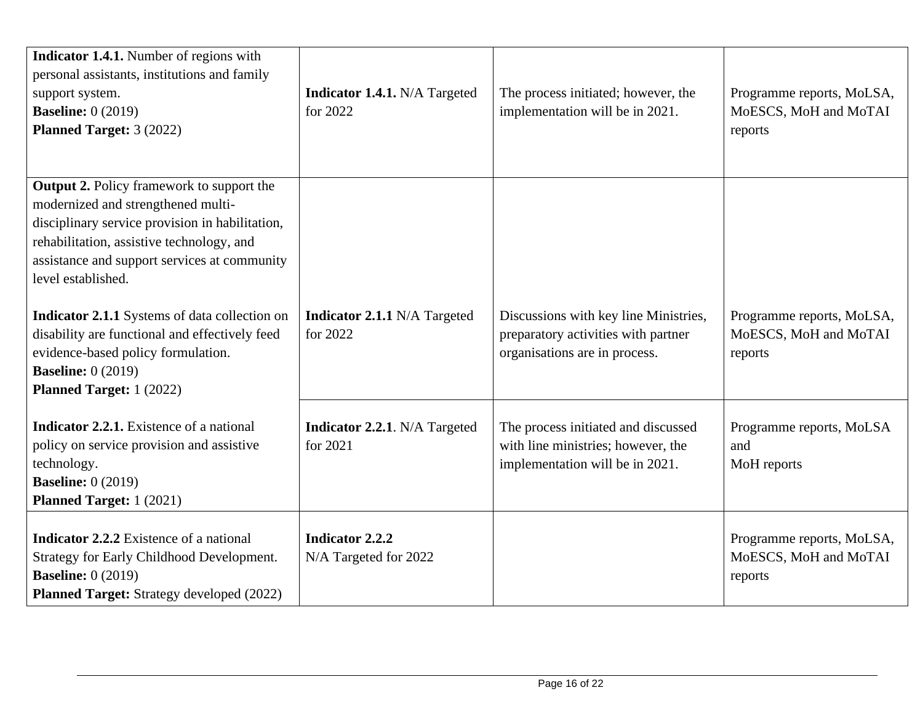| Indicator 1.4.1. Number of regions with<br>personal assistants, institutions and family<br>support system.<br><b>Baseline:</b> 0 (2019)<br><b>Planned Target: 3 (2022)</b>                                                                                   | Indicator 1.4.1. N/A Targeted<br>for 2022        | The process initiated; however, the<br>implementation will be in 2021.                                        | Programme reports, MoLSA,<br>MoESCS, MoH and MoTAI<br>reports |
|--------------------------------------------------------------------------------------------------------------------------------------------------------------------------------------------------------------------------------------------------------------|--------------------------------------------------|---------------------------------------------------------------------------------------------------------------|---------------------------------------------------------------|
| <b>Output 2.</b> Policy framework to support the<br>modernized and strengthened multi-<br>disciplinary service provision in habilitation,<br>rehabilitation, assistive technology, and<br>assistance and support services at community<br>level established. |                                                  |                                                                                                               |                                                               |
| Indicator 2.1.1 Systems of data collection on<br>disability are functional and effectively feed<br>evidence-based policy formulation.<br><b>Baseline:</b> 0 (2019)<br><b>Planned Target:</b> 1 (2022)                                                        | <b>Indicator 2.1.1 N/A Targeted</b><br>for 2022  | Discussions with key line Ministries,<br>preparatory activities with partner<br>organisations are in process. | Programme reports, MoLSA,<br>MoESCS, MoH and MoTAI<br>reports |
| <b>Indicator 2.2.1.</b> Existence of a national<br>policy on service provision and assistive<br>technology.<br><b>Baseline:</b> 0 (2019)<br><b>Planned Target:</b> 1 (2021)                                                                                  | <b>Indicator 2.2.1.</b> N/A Targeted<br>for 2021 | The process initiated and discussed<br>with line ministries; however, the<br>implementation will be in 2021.  | Programme reports, MoLSA<br>and<br>MoH reports                |
| <b>Indicator 2.2.2</b> Existence of a national<br>Strategy for Early Childhood Development.<br><b>Baseline:</b> 0 (2019)<br><b>Planned Target:</b> Strategy developed (2022)                                                                                 | Indicator 2.2.2<br>N/A Targeted for 2022         |                                                                                                               | Programme reports, MoLSA,<br>MoESCS, MoH and MoTAI<br>reports |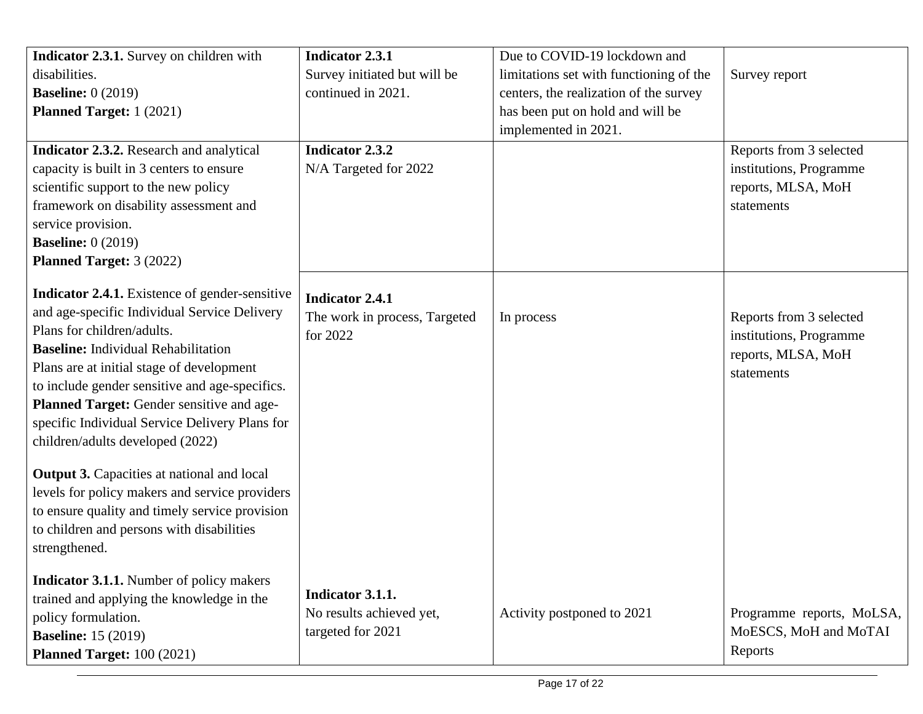| Indicator 2.3.1. Survey on children with                                                                                                                                                                                                                                                                                                                                                                     | <b>Indicator 2.3.1</b>                                              | Due to COVID-19 lockdown and            |                                                                                        |
|--------------------------------------------------------------------------------------------------------------------------------------------------------------------------------------------------------------------------------------------------------------------------------------------------------------------------------------------------------------------------------------------------------------|---------------------------------------------------------------------|-----------------------------------------|----------------------------------------------------------------------------------------|
| disabilities.                                                                                                                                                                                                                                                                                                                                                                                                | Survey initiated but will be                                        | limitations set with functioning of the | Survey report                                                                          |
| <b>Baseline:</b> 0 (2019)                                                                                                                                                                                                                                                                                                                                                                                    | continued in 2021.                                                  | centers, the realization of the survey  |                                                                                        |
| <b>Planned Target:</b> 1 (2021)                                                                                                                                                                                                                                                                                                                                                                              |                                                                     | has been put on hold and will be        |                                                                                        |
|                                                                                                                                                                                                                                                                                                                                                                                                              |                                                                     | implemented in 2021.                    |                                                                                        |
| Indicator 2.3.2. Research and analytical<br>capacity is built in 3 centers to ensure<br>scientific support to the new policy<br>framework on disability assessment and<br>service provision.<br><b>Baseline:</b> 0 (2019)<br><b>Planned Target: 3 (2022)</b>                                                                                                                                                 | <b>Indicator 2.3.2</b><br>N/A Targeted for 2022                     |                                         | Reports from 3 selected<br>institutions, Programme<br>reports, MLSA, MoH<br>statements |
| Indicator 2.4.1. Existence of gender-sensitive<br>and age-specific Individual Service Delivery<br>Plans for children/adults.<br><b>Baseline:</b> Individual Rehabilitation<br>Plans are at initial stage of development<br>to include gender sensitive and age-specifics.<br>Planned Target: Gender sensitive and age-<br>specific Individual Service Delivery Plans for<br>children/adults developed (2022) | <b>Indicator 2.4.1</b><br>The work in process, Targeted<br>for 2022 | In process                              | Reports from 3 selected<br>institutions, Programme<br>reports, MLSA, MoH<br>statements |
| <b>Output 3.</b> Capacities at national and local<br>levels for policy makers and service providers<br>to ensure quality and timely service provision<br>to children and persons with disabilities<br>strengthened.                                                                                                                                                                                          |                                                                     |                                         |                                                                                        |
| <b>Indicator 3.1.1.</b> Number of policy makers<br>trained and applying the knowledge in the<br>policy formulation.<br><b>Baseline:</b> 15 (2019)<br><b>Planned Target: 100 (2021)</b>                                                                                                                                                                                                                       | Indicator 3.1.1.<br>No results achieved yet,<br>targeted for 2021   | Activity postponed to 2021              | Programme reports, MoLSA,<br>MoESCS, MoH and MoTAI<br>Reports                          |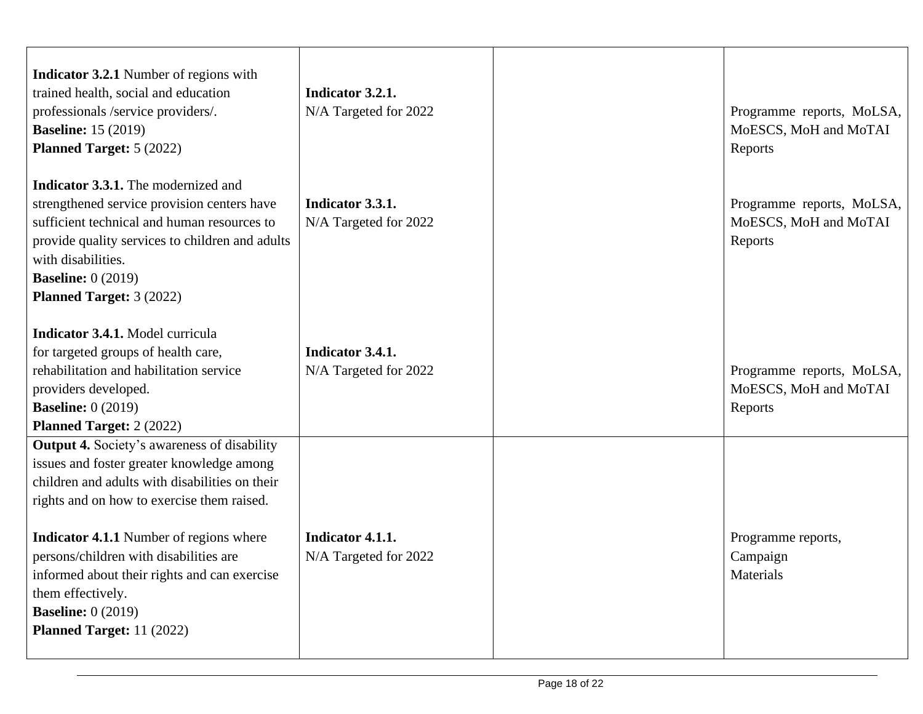| <b>Indicator 3.2.1</b> Number of regions with<br>trained health, social and education<br>professionals /service providers/.<br><b>Baseline:</b> 15 (2019)<br><b>Planned Target: 5 (2022)</b>                                                                                                                                                                                                                                      | Indicator 3.2.1.<br>N/A Targeted for 2022 | Programme reports, MoLSA,<br>MoESCS, MoH and MoTAI<br>Reports |
|-----------------------------------------------------------------------------------------------------------------------------------------------------------------------------------------------------------------------------------------------------------------------------------------------------------------------------------------------------------------------------------------------------------------------------------|-------------------------------------------|---------------------------------------------------------------|
| <b>Indicator 3.3.1.</b> The modernized and<br>strengthened service provision centers have<br>sufficient technical and human resources to<br>provide quality services to children and adults<br>with disabilities.<br><b>Baseline:</b> $0(2019)$<br><b>Planned Target: 3 (2022)</b>                                                                                                                                                | Indicator 3.3.1.<br>N/A Targeted for 2022 | Programme reports, MoLSA,<br>MoESCS, MoH and MoTAI<br>Reports |
| <b>Indicator 3.4.1.</b> Model curricula<br>for targeted groups of health care,<br>rehabilitation and habilitation service<br>providers developed.<br><b>Baseline:</b> 0 (2019)<br><b>Planned Target: 2 (2022)</b>                                                                                                                                                                                                                 | Indicator 3.4.1.<br>N/A Targeted for 2022 | Programme reports, MoLSA,<br>MoESCS, MoH and MoTAI<br>Reports |
| <b>Output 4.</b> Society's awareness of disability<br>issues and foster greater knowledge among<br>children and adults with disabilities on their<br>rights and on how to exercise them raised.<br><b>Indicator 4.1.1</b> Number of regions where<br>persons/children with disabilities are<br>informed about their rights and can exercise<br>them effectively.<br><b>Baseline:</b> 0 (2019)<br><b>Planned Target: 11 (2022)</b> | Indicator 4.1.1.<br>N/A Targeted for 2022 | Programme reports,<br>Campaign<br>Materials                   |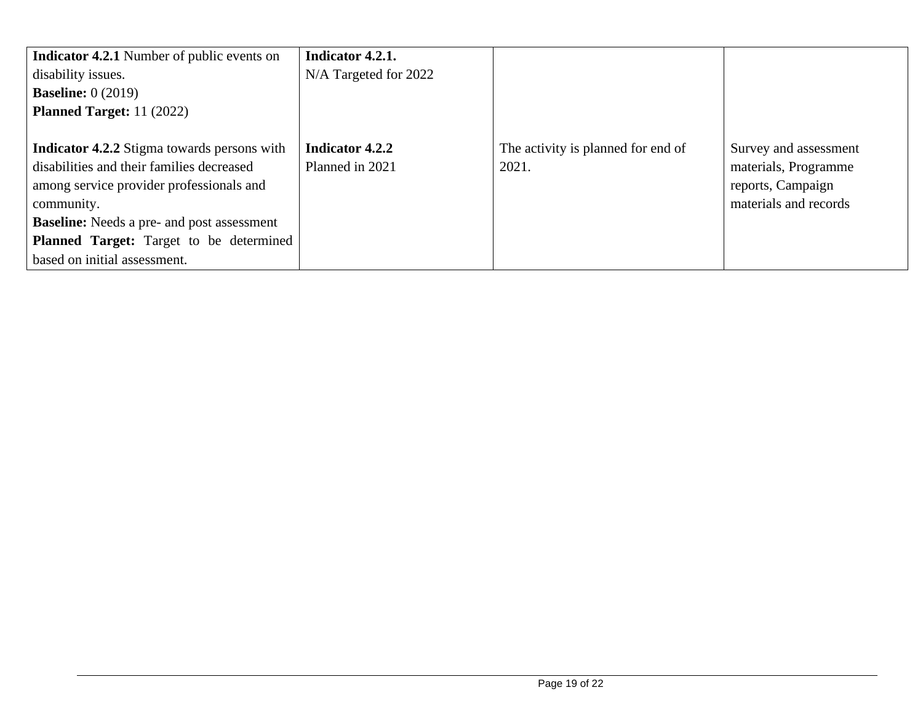| <b>Indicator 4.2.1</b> Number of public events on  | Indicator 4.2.1.      |                                    |                       |
|----------------------------------------------------|-----------------------|------------------------------------|-----------------------|
| disability issues.                                 | N/A Targeted for 2022 |                                    |                       |
| <b>Baseline:</b> $0(2019)$                         |                       |                                    |                       |
| <b>Planned Target:</b> $11(2022)$                  |                       |                                    |                       |
|                                                    |                       |                                    |                       |
| <b>Indicator 4.2.2</b> Stigma towards persons with | Indicator 4.2.2       | The activity is planned for end of | Survey and assessment |
| disabilities and their families decreased          | Planned in 2021       | 2021.                              | materials, Programme  |
| among service provider professionals and           |                       |                                    | reports, Campaign     |
| community.                                         |                       |                                    | materials and records |
| <b>Baseline:</b> Needs a pre- and post assessment  |                       |                                    |                       |
| <b>Planned Target:</b> Target to be determined     |                       |                                    |                       |
| based on initial assessment.                       |                       |                                    |                       |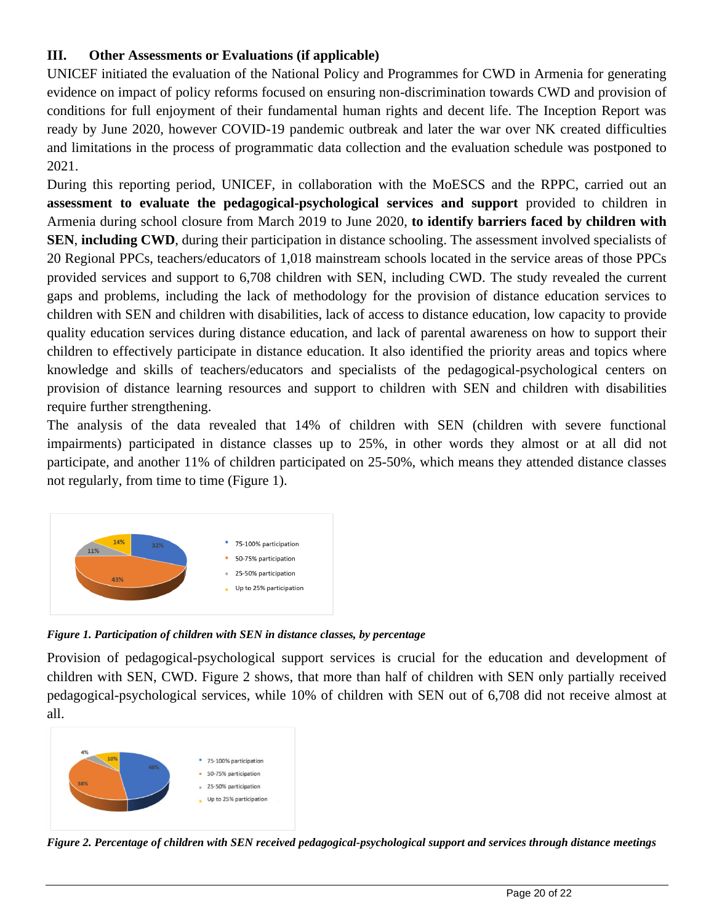## **III. Other Assessments or Evaluations (if applicable)**

UNICEF initiated the evaluation of the National Policy and Programmes for CWD in Armenia for generating evidence on impact of policy reforms focused on ensuring non-discrimination towards CWD and provision of conditions for full enjoyment of their fundamental human rights and decent life. The Inception Report was ready by June 2020, however COVID-19 pandemic outbreak and later the war over NK created difficulties and limitations in the process of programmatic data collection and the evaluation schedule was postponed to 2021.

During this reporting period, UNICEF, in collaboration with the MoESCS and the RPPC, carried out an **assessment to evaluate the pedagogical-psychological services and support** provided to children in Armenia during school closure from March 2019 to June 2020, **to identify barriers faced by children with SEN**, **including CWD**, during their participation in distance schooling. The assessment involved specialists of 20 Regional PPCs, teachers/educators of 1,018 mainstream schools located in the service areas of those PPCs provided services and support to 6,708 children with SEN, including CWD. The study revealed the current gaps and problems, including the lack of methodology for the provision of distance education services to children with SEN and children with disabilities, lack of access to distance education, low capacity to provide quality education services during distance education, and lack of parental awareness on how to support their children to effectively participate in distance education. It also identified the priority areas and topics where knowledge and skills of teachers/educators and specialists of the pedagogical-psychological centers on provision of distance learning resources and support to children with SEN and children with disabilities require further strengthening.

The analysis of the data revealed that 14% of children with SEN (children with severe functional impairments) participated in distance classes up to 25%, in other words they almost or at all did not participate, and another 11% of children participated on 25-50%, which means they attended distance classes not regularly, from time to time (Figure 1).



*Figure 1. Participation of children with SEN in distance classes, by percentage*

Provision of pedagogical-psychological support services is crucial for the education and development of children with SEN, CWD. Figure 2 shows, that more than half of children with SEN only partially received pedagogical-psychological services, while 10% of children with SEN out of 6,708 did not receive almost at all.



Figure 2. Percentage of children with SEN received pedagogical-psychological support and services through distance meetings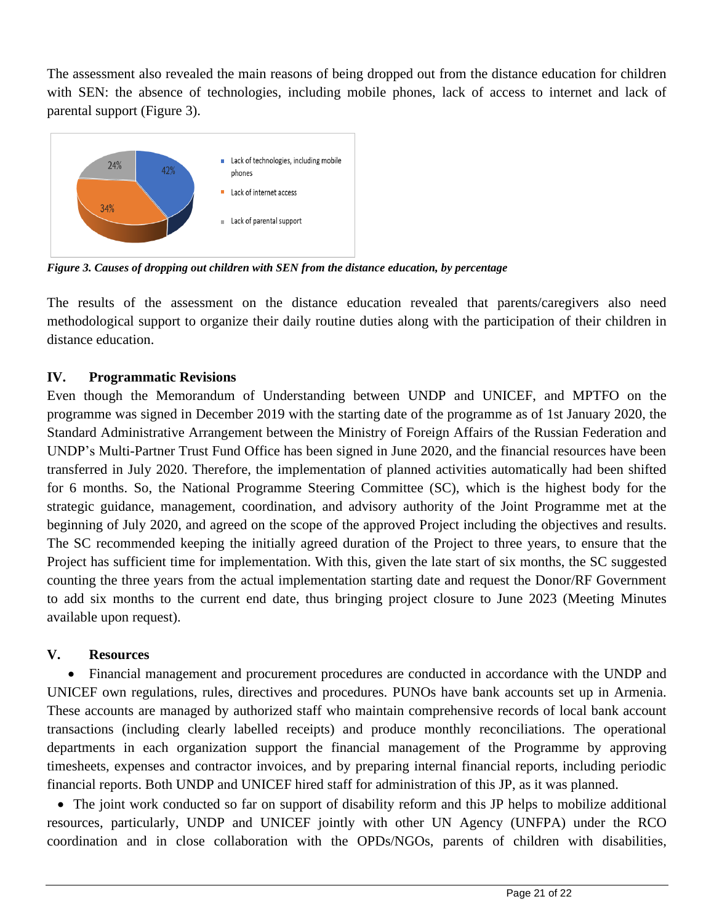The assessment also revealed the main reasons of being dropped out from the distance education for children with SEN: the absence of technologies, including mobile phones, lack of access to internet and lack of parental support (Figure 3).



*Figure 3. Causes of dropping out children with SEN from the distance education, by percentage*

The results of the assessment on the distance education revealed that parents/caregivers also need methodological support to organize their daily routine duties along with the participation of their children in distance education.

## **IV. Programmatic Revisions**

Even though the Memorandum of Understanding between UNDP and UNICEF, and MPTFO on the programme was signed in December 2019 with the starting date of the programme as of 1st January 2020, the Standard Administrative Arrangement between the Ministry of Foreign Affairs of the Russian Federation and UNDP's Multi-Partner Trust Fund Office has been signed in June 2020, and the financial resources have been transferred in July 2020. Therefore, the implementation of planned activities automatically had been shifted for 6 months. So, the National Programme Steering Committee (SC), which is the highest body for the strategic guidance, management, coordination, and advisory authority of the Joint Programme met at the beginning of July 2020, and agreed on the scope of the approved Project including the objectives and results. The SC recommended keeping the initially agreed duration of the Project to three years, to ensure that the Project has sufficient time for implementation. With this, given the late start of six months, the SC suggested counting the three years from the actual implementation starting date and request the Donor/RF Government to add six months to the current end date, thus bringing project closure to June 2023 (Meeting Minutes available upon request).

## **V. Resources**

• Financial management and procurement procedures are conducted in accordance with the UNDP and UNICEF own regulations, rules, directives and procedures. PUNOs have bank accounts set up in Armenia. These accounts are managed by authorized staff who maintain comprehensive records of local bank account transactions (including clearly labelled receipts) and produce monthly reconciliations. The operational departments in each organization support the financial management of the Programme by approving timesheets, expenses and contractor invoices, and by preparing internal financial reports, including periodic financial reports. Both UNDP and UNICEF hired staff for administration of this JP, as it was planned.

• The joint work conducted so far on support of disability reform and this JP helps to mobilize additional resources, particularly, UNDP and UNICEF jointly with other UN Agency (UNFPA) under the RCO coordination and in close collaboration with the OPDs/NGOs, parents of children with disabilities,